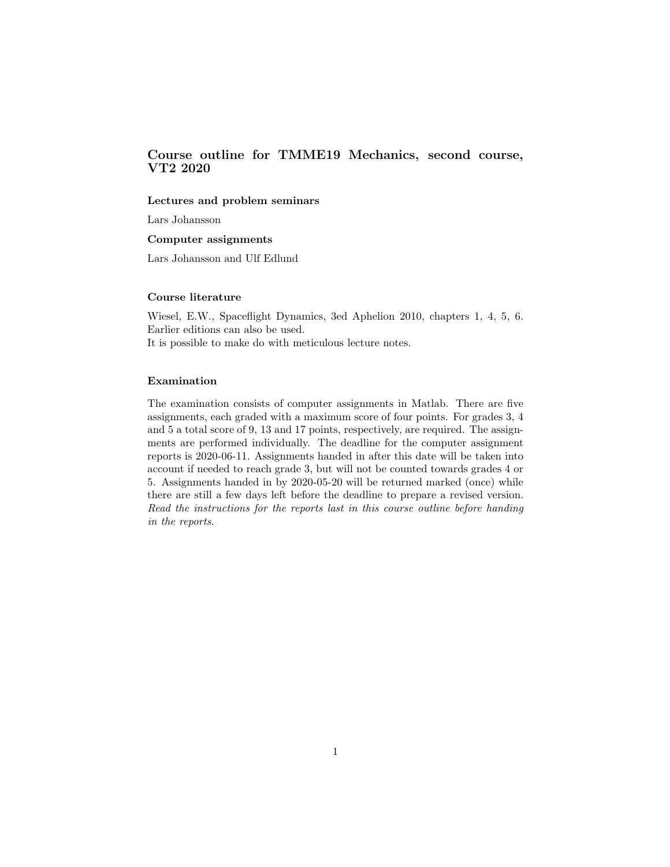# Course outline for TMME19 Mechanics, second course, VT2 2020

## Lectures and problem seminars

Lars Johansson

### Computer assignments

Lars Johansson and Ulf Edlund

#### Course literature

Wiesel, E.W., Spaceflight Dynamics, 3ed Aphelion 2010, chapters 1, 4, 5, 6. Earlier editions can also be used. It is possible to make do with meticulous lecture notes.

#### Examination

The examination consists of computer assignments in Matlab. There are five assignments, each graded with a maximum score of four points. For grades 3, 4 and 5 a total score of 9, 13 and 17 points, respectively, are required. The assignments are performed individually. The deadline for the computer assignment reports is 2020-06-11. Assignments handed in after this date will be taken into account if needed to reach grade 3, but will not be counted towards grades 4 or 5. Assignments handed in by 2020-05-20 will be returned marked (once) while there are still a few days left before the deadline to prepare a revised version. Read the instructions for the reports last in this course outline before handing in the reports.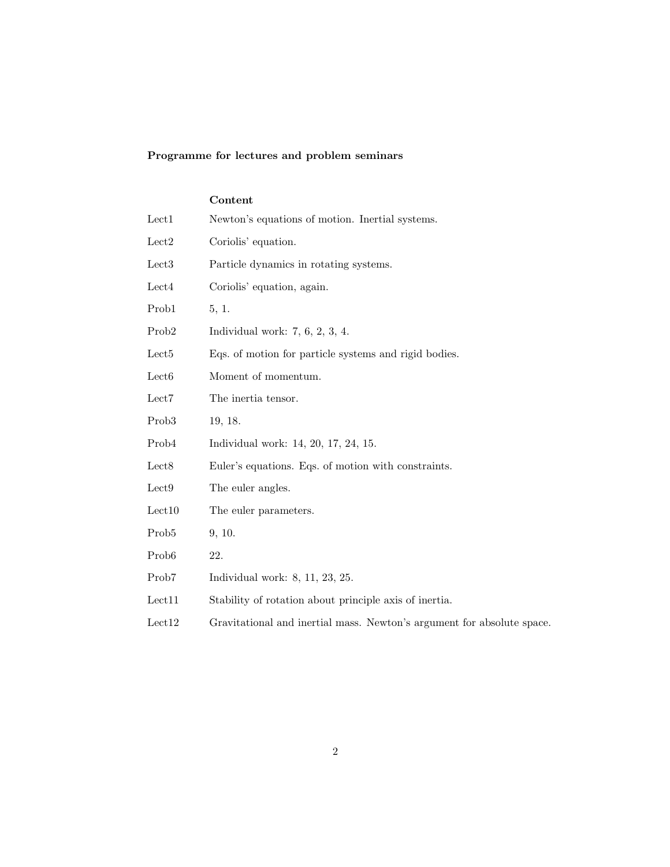# Programme for lectures and problem seminars

|                   | Content                                                                |
|-------------------|------------------------------------------------------------------------|
| Lect1             | Newton's equations of motion. Inertial systems.                        |
| Lect <sub>2</sub> | Coriolis' equation.                                                    |
| Lect <sub>3</sub> | Particle dynamics in rotating systems.                                 |
| Lect4             | Coriolis' equation, again.                                             |
| Prob1             | 5, 1.                                                                  |
| Prob <sub>2</sub> | Individual work: $7, 6, 2, 3, 4$ .                                     |
| Lect <sub>5</sub> | Eqs. of motion for particle systems and rigid bodies.                  |
| Lect <sub>6</sub> | Moment of momentum.                                                    |
| Lect7             | The inertia tensor.                                                    |
| Prob <sub>3</sub> | 19, 18.                                                                |
| Prob <sub>4</sub> | Individual work: 14, 20, 17, 24, 15.                                   |
| Lect <sub>8</sub> | Euler's equations. Eqs. of motion with constraints.                    |
| Lect <sub>9</sub> | The euler angles.                                                      |
| Let 10            | The euler parameters.                                                  |
| Prob <sub>5</sub> | 9, 10.                                                                 |
| Prob <sub>6</sub> | 22.                                                                    |
| Prob7             | Individual work: $8, 11, 23, 25$ .                                     |
| Lect11            | Stability of rotation about principle axis of inertia.                 |
| Let 12            | Gravitational and inertial mass. Newton's argument for absolute space. |